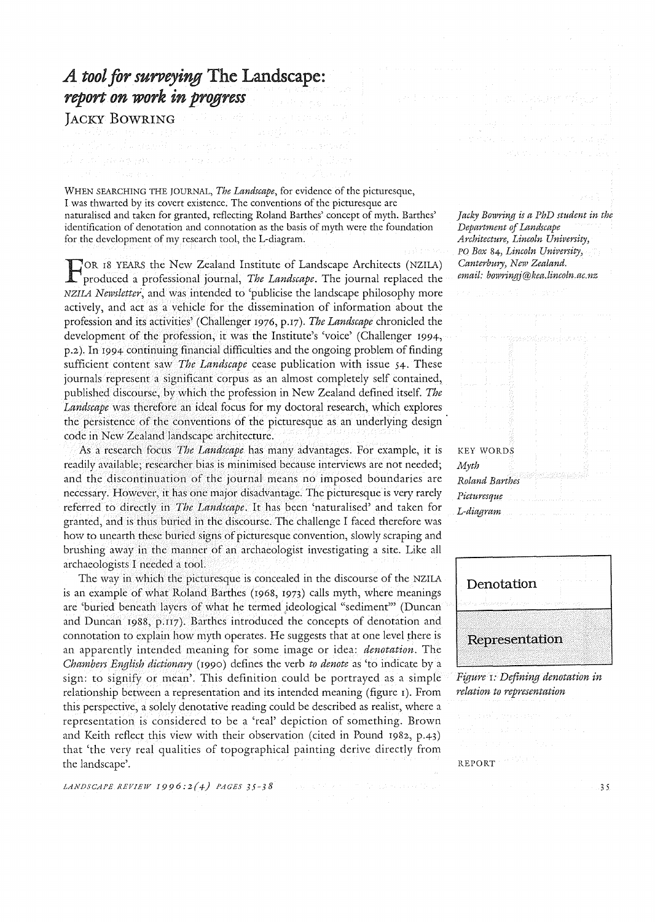## *A tool for surveying* The Landscape: *report on work in progress*

JACKY BOWRING

WHEN SEARCHING THE JOURNAL, *The Landscape,* for evidence of the picturesque, I was thwarted by its covert existence. The conventions of the picturesque are naturalised and taken for granted, reflecting Roland Barthes' concept of myth. Barthes' identification of denotation and connotation as the basis of myth were the foundation for the development of my research tool, the L-diagram.

FOR 18 YEARS the New Zealand Institute of Landscape Architects (NZlLA) produced a professional journal, *The Landscape.* The journal replaced the NZlIA *Newsletter,* and was intended to 'publicise the landscape philosophy more actively, and act as a vehicle for the dissemination of information about the profession and its activities' (Challenger 1976, p.17). *The Landscape* chronicled the development of the profession, it was the Institute's 'voice' (Challenger 1994, p.2). In 1994 continuing financial difficulties and the ongoing problem of finding sufficient content saw *The Landscape* cease publication with issue 54. These journals represent a significant corpus as an almost completely self contained, published discourse, by which the profession in New Zealand defined itself. *The Landscape* was therefore an ideal focus for my doctoral research, which explores the persistence of the conventions of the picturesque as an underlying design code in New Zealand landscape architecture.

As a research fbcus *The Landscape* has many advantages. For example, it is readily available; researcher bias is minimised because interviews are not needed; and the discontinuation of the journal means no imposed boundaries are necessary. However, it has one major disadvantage. The picturesque is very rarely referred to directly in *The Landscape.* It has been 'naturalised' and taken for granted, and is thus buried in the discourse. The challenge I faced therefore was how to unearth these buried signs of picturesque convention, slowly scraping and brushing away in the manner of an archaeologist investigating a site. Like all archaeologists I needed a tool.

The way in which the picturesque is concealed in the discourse of the NZlLA is an example of what Roland Barthes (1968, 1973) calls myth, where meanings are 'buried beneath layers of what he termed ideological "sediment'" (Duncan and Duncan 1988, p.117). Barthes introduced the concepts of denotation and connotation to explain how myth operates. He suggests that at one level there is an apparently intended meaning for some image or idea: *denotation.* The *Chambers English dictionary* (1990) defines the verb *to denote* as 'to indicate by a sign: to signify or mean'. This definition could be portrayed as a simple relationship between a representation and its intended meaning (figure I). From this perspective, a solely denotative reading could be described as realist, where a representation is considered to be a 'real' depiction of something. Brown and Keith reflect this view with their observation (cited in Pound I982, p.43) that 'the very real qualities of topographical painting derive directly from the landscape'.

*LANDSCAPE REVIEW 1996:2(4) PAGES 35-38* 

*Jacky Bowring is a PhD student in the Department of Landscape Architecturey Lincoln University;*  PO *Box* 84; *Lincoln University) Canterbury; New Zealand.*   $email:$  bowringj@kea.lincoln.ac.nz

KEY WORDS *Myth Roland Barthes Pictu1'esque L-diagram* 



*Figure* I: *Defining denotation in relation to representation* 

## REPORT **FOR**

35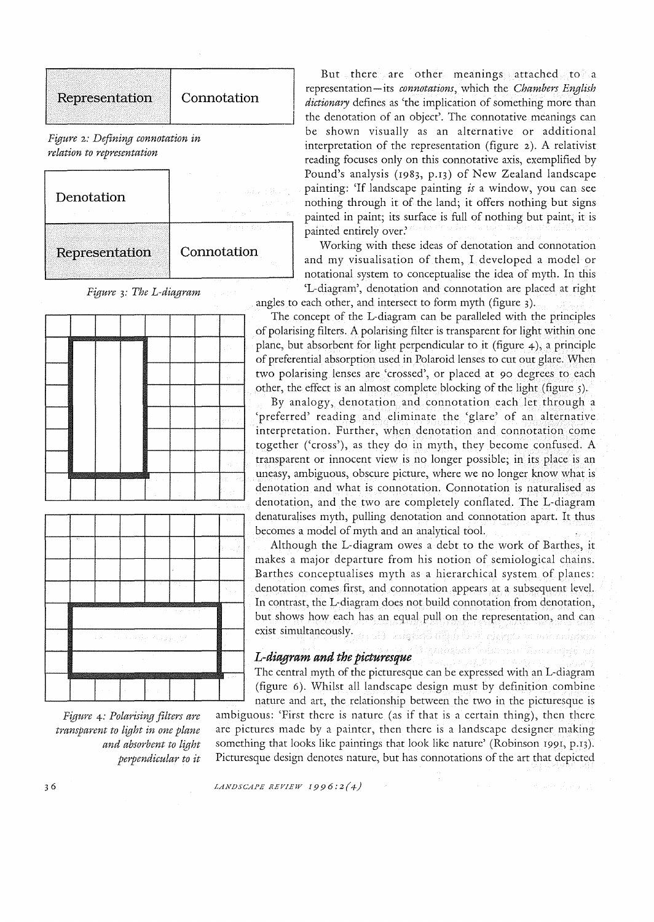



*Figure* +: *Polarising filters are transparent to light in one plane and absorbent to light perpendicular to it* 

But there are other meanings attached to a Representation Connotation | representation-its *connotations*, which the *Chambers English*<br>*dictionary* defines as 'the implication of something more than the denotation of an object'. The connotative meanings can be shown visually as an alternative or additional interpretation of the representation (figure 2). A relativist reading focuses only on this connotative axis, exemplified by Pound's analysis (1983, p.13) of New Zealand landscape painting: 'If landscape painting *is* a window, you can see nothing through it of the land; it offers nothing but signs painted in paint; its surface is full of nothing but paint, it is painted entirely over:

Representation Connotation Working with these ideas of denotation and connotation and my visualisation of them, I developed a model or notational system to conceptualise the idea of myth. In this 'L-diagram', denotation and connotation are placed at right *Figure* 3: *The L-diagram*  angles to each other, and intersect to form myth (figure 3).

The concept of the L-diagram can be paralleled with the principles of polarising filters. A polarising filter is transparent for light within one plane, but absorbent for light perpendicular to it (figure  $4$ ), a principle of preferential absorption used in Polaroid lenses to cut out glare. When two polarising lenses are 'crossed', or placed at 90 degrees to each other, the effect is an almost complete blocking of the light (figure 5).

By analogy, denotation and connotation each let through a 'preferred' reading and eliminate the 'glare' of an alternative interpretation. Further, when denotation and connotation come together ('cross'), as they do in myth, they become confused. A transparent or innocent view is no longer possible; in its place is an uneasy, ambiguous, obscure picture, where we no longer know what is denotation and what is connotation. Connotation is naturalised as denotation, and the two are completely conflated. The L-diagram denaturalises myth, pulling denotation and connotation apart. It thus becomes a model of myth and an analytical tool.

Although the L-diagram owes a debt to the work of Barthes, it makes a major departure from his notion of semiological chains. Barthes conceptualises myth as a hierarchical system of planes: denotation comes first, and connotation appears at a subsequent level. In contrast, the L-diagram does not build connotation from denotation, but shows how each has an equal pull on the representation, and can exist simultaneously.

## *L-diagram and the picturesque*

The central myth of the picturesque can be expressed with an L-diagram (figure 6). Whilst all landscape design must by definition combine nature and art, the relationship between the two in the picturesque is ambiguous: 'First there is nature (as if that is a certain thing), then there

are pictures made by a painter, then there is a landscape designer making something that looks like paintings that look like nature' (Robinson 1991, p.13). Picturesque design denotes nature, but has connotations of the art that depicted

*LANDSCAPE REVIEW [996:2(4)*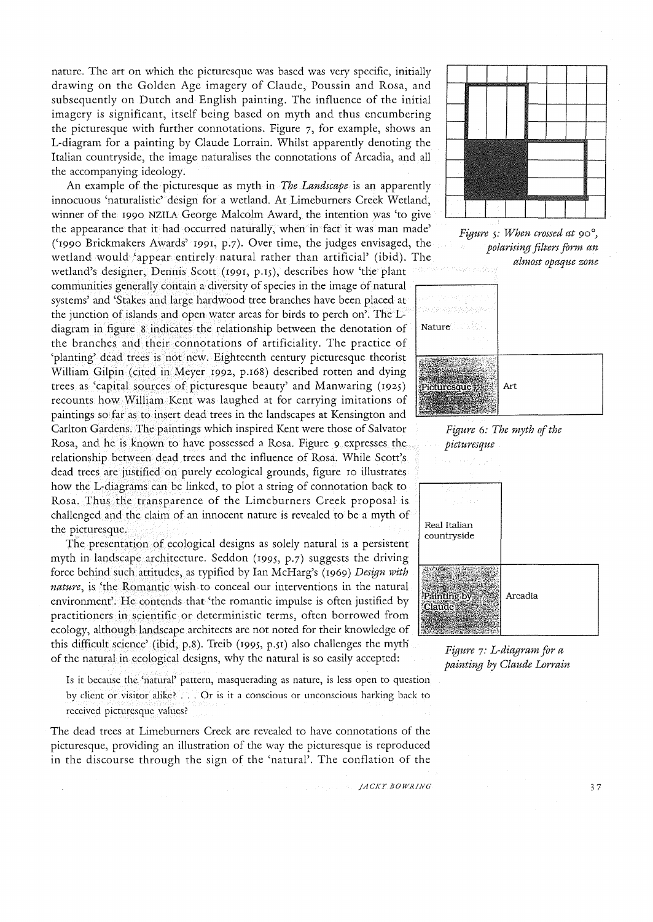nature. The art on which the picturesque was based was very specific, initially drawing on the Golden Age imagery of Claude, Poussin and Rosa, and subsequently on Dutch and English painting. The influence of the initial imagery is significant, itself being based on myth and thus encumbering the picturesque with further connotations. Figure 7, for example, shows an L-diagram for a painting by Claude Lorrain. Whilst apparently denoting the Italian countryside, the image naturalises the connotations of Arcadia, and all the accompanying ideology.

An example of the picturesque as myth in *The Landscape* is an apparently innocuous 'naturalistic' design for a wetland. At Limeburners Creek Wetland, winner of the 1990 NZILA George Malcolm Award, the intention was 'to give the appearance that it had occurred naturally, when in fact it was man made' ('I990 Brickmakers Awards' I991, p.7). Over time, the judges envisaged, the wetland would 'appear entirely natural rather than artificial' (ibid). The

wetland's designer, Dennis Scott (1991, p.15), describes how 'the plant communities generally contain a diversity of species in the image of natural systems' and 'Stakes and large hardwood tree branches have been placed at the junction of islands and open water areas for birds to perch on'. The Ldiagram in figure 8 indicates the relationship between the denotation of  $\vert$  Nature the branches and their connotations of artificiality. The practice of 'planting' dead trees is not new. Eighteenth century picturesque theorist William Gilpin (cited in Meyer I992, p.I68) described rotten and dying trees as 'capital sources of picturesque beauty' and Manwaring (I92S) recounts how William Kent was laughed at for carrying imitations of paintings so far as to insert dead trees in the landscapes at Kensington and Carlton Gardens. The paintings which inspired Kent were those of Salvator Rosa, and he is known to have possessed a Rosa. Figure 9 expresses the relationship between dead trees and the influence of Rosa. While Scott's dead trees are justified on purely ecological grounds, figure 10 illustrates how the L-diagrams can be linked, to plot a string of connotation back to Rosa. Thus the transparence of the Limeburners Creek proposal is challenged and the claim of an innocent nature is revealed to be a myth of the picturesque.<br>The presentation of ecological designs as solely natural is a persistent countryside

myth in landscape architecture. Seddon (I99S, p.7) suggests the driving force behind such attitudes, as typified by Ian McHarg's (I969) *Design with nature,* is 'the Romantic wish to conceal our interventions in the natural environment'. He contends that 'the romantic impulse is often justified by practitioners in scientific or deterministic terms, often borrowed from ecology, although landscape architects are not noted for their knowledge of this difficult science' (ibid, p.8). Treib (1995, p.51) also challenges the myth of the natural in ecological designs, why the natural is so easily accepted: *Figure* 7: *L-diagram for a* 

Is it because the 'natural' pattern, masquerading as nature, is less open to question by client or visitor alike? ... Or is it a conscious or unconscious harking back to received picturesque values?

The dead trees at Limeburners Creek are revealed to have connotations of the picturesque, providing an illustration of the way the picturesque is reproduced in the discourse through the sign of the 'natural'. The conflation of the





*Figure* 5: *When crossed at 90°) polarising filters form an almost opaque zone* 





*painting by Claude Lorrain*